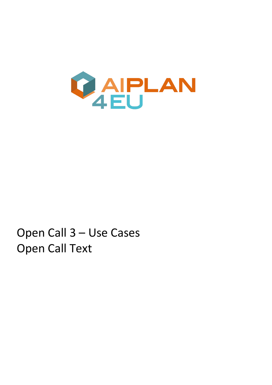

# Open Call 3 – Use Cases Open Call Text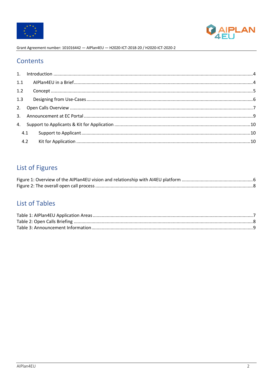



## Contents

| 1.2 |     |  |
|-----|-----|--|
|     |     |  |
|     |     |  |
|     |     |  |
|     |     |  |
|     | 4.1 |  |
|     |     |  |

## List of Figures

## **List of Tables**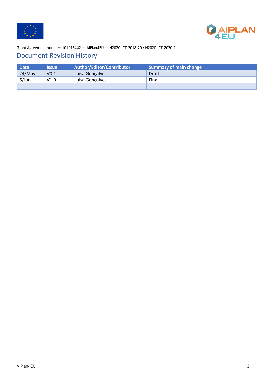



## Document Revision History

| <b>Date</b> | <b>Issue</b>     | Author/Editor/Contributor | Summary of main change |
|-------------|------------------|---------------------------|------------------------|
| 24/May      | V <sub>0.1</sub> | Luisa Gonçalves           | <b>Draft</b>           |
| $6/$ Jun    | V1.0             | Luisa Gonçalves           | Final                  |
|             |                  |                           |                        |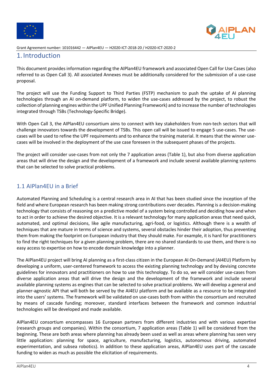



#### 1. Introduction

This document provides information regarding the AIPlan4EU framework and associated Open Call for Use Cases (also referred to as Open Call 3). All associated Annexes must be additionally considered for the submission of a use-case proposal.

The project will use the Funding Support to Third Parties (FSTP) mechanism to push the uptake of AI planning technologies through an AI on-demand platform, to widen the use-cases addressed by the project, to robust the collection of planning engines within the UPF Unified Planning Framework) and to increase the number of technologies integrated through TSBs (Technology-Specific Bridge).

With Open Call 3, the AIPlan4EU consortium aims to connect with key stakeholders from non-tech sectors that will challenge innovators towards the development of TSBs. This open call will be issued to engage 5 use-cases. The usecases will be used to refine the UPF requirements and to enhance the training material. It means that the winner usecases will be involved in the deployment of the use case foreseen in the subsequent phases of the projects.

The project will consider use-cases from not only the 7 application areas (Table 1), but also from diverse application areas that will drive the design and the development of a framework and include several available planning systems that can be selected to solve practical problems.

### 1.1 AIPlan4EU in a Brief

Automated Planning and Scheduling is a central research area in AI that has been studied since the inception of the field and where European research has been making strong contributions over decades. Planning is a decision-making technology that consists of reasoning on a predictive model of a system being controlled and deciding how and when to act in order to achieve the desired objective. It is a relevant technology for many application areas that need quick, automated, and optimal decisions, like agile manufacturing, agri-food, or logistics. Although there is a wealth of techniques that are mature in terms of science and systems, several obstacles hinder their adoption, thus preventing them from making the footprint on European industry that they should make. For example, it is hard for practitioners to find the right techniques for a given planning problem, there are no shared standards to use them, and there is no easy access to expertise on how to encode domain knowledge into a planner.

The AIPlan4EU project will bring AI planning as a first-class citizen in the European AI On-Demand (AI4EU) Platform by developing a uniform, user-centered framework to access the existing planning technology and by devising concrete guidelines for innovators and practitioners on how to use this technology. To do so, we will consider use-cases from diverse application areas that will drive the design and the development of the framework and include several available planning systems as engines that can be selected to solve practical problems. We will develop a general and planner-agnostic API that will both be served by the AI4EU platform and be available as a resource to be integrated into the users' systems. The framework will be validated on use-cases both from within the consortium and recruited by means of cascade funding; moreover, standard interfaces between the framework and common industrial technologies will be developed and made available.

AIPlan4EU consortium encompasses 16 European partners from different industries and with various expertise (research groups and companies). Within the consortium, 7 application areas (Table 1) will be considered from the beginning. These are both areas where planning has already been used as well as areas where planning has seen very little application: planning for space, agriculture, manufacturing, logistics, autonomous driving, automated experimentation, and subsea robotics). In addition to these application areas, AIPlan4EU uses part of the cascade funding to widen as much as possible the elicitation of requirements.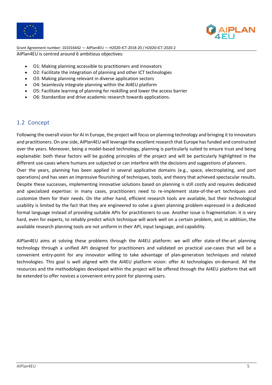



Grant Agreement number: 101016442 — AIPlan4EU — H2020-ICT-2018-20 / H2020-ICT-2020-2 AIPlan4EU is centred around 6 ambitious objectives:

- O1: Making planning accessible to practitioners and innovators
- O2: Facilitate the integration of planning and other ICT technologies
- O3: Making planning relevant in diverse application sectors
- O4: Seamlessly integrate planning within the AI4EU platform
- O5: Facilitate learning of planning for reskilling and lower the access barrier
- O6: Standardize and drive academic research towards applications.

#### 1.2 Concept

Following the overall vision for AI in Europe, the project will focus on planning technology and bringing it to innovators and practitioners. On one side, AIPlan4EU will leverage the excellent research that Europe has funded and constructed over the years. Moreover, being a model-based technology, planning is particularly suited to ensure trust and being explainable: both these factors will be guiding principles of the project and will be particularly highlighted in the different use-cases where humans are subjected or can interfere with the decisions and suggestions of planners.

Over the years, planning has been applied in several applicative domains (e.g., space, electroplating, and port operations) and has seen an impressive flourishing of techniques, tools, and theory that achieved spectacular results. Despite these successes, implementing innovative solutions based on planning is still costly and requires dedicated and specialized expertise: in many cases, practitioners need to re-implement state-of-the-art techniques and customize them for their needs. On the other hand, efficient research tools are available, but their technological usability is limited by the fact that they are engineered to solve a given planning problem expressed in a dedicated formal language instead of providing suitable APIs for practitioners to use. Another issue is fragmentation: it is very hard, even for experts, to reliably predict which technique will work well on a certain problem, and, in addition, the available research planning tools are not uniform in their API, input language, and capability.

AIPlan4EU aims at solving these problems through the AI4EU platform: we will offer state-of-the-art planning technology through a unified API designed for practitioners and validated on practical use-cases that will be a convenient entry-point for any innovator willing to take advantage of plan-generation techniques and related technologies. This goal is well aligned with the AI4EU platform vision: offer AI technologies on-demand. All the resources and the methodologies developed within the project will be offered through the AI4EU platform that will be extended to offer novices a convenient entry point for planning users.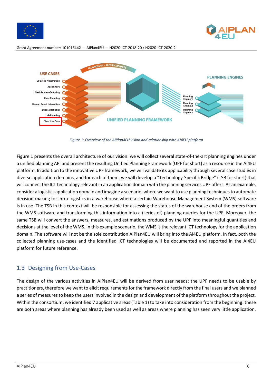





*Figure 1: Overview of the AIPlan4EU vision and relationship with AI4EU platform*

Figure 1 presents the overall architecture of our vision: we will collect several state-of-the-art planning engines under a unified planning API and present the resulting Unified Planning Framework (UPF for short) as a resource in the AI4EU platform. In addition to the innovative UPF framework, we will validate its applicability through several case studies in diverse application domains, and for each of them, we will develop a "Technology-Specific Bridge" (TSB for short) that will connect the ICT technology relevant in an application domain with the planning services UPF offers. As an example, consider a logistics application domain and imagine a scenario, where we want to use planning techniques to automate decision-making for intra-logistics in a warehouse where a certain Warehouse Management System (WMS) software is in use. The TSB in this context will be responsible for assessing the status of the warehouse and of the orders from the WMS software and transforming this information into a (series of) planning queries for the UPF. Moreover, the same TSB will convert the answers, measures, and estimations produced by the UPF into meaningful quantities and decisions at the level of the WMS. In this example scenario, the WMS is the relevant ICT technology for the application domain. The software will not be the sole contribution AIPlan4EU will bring into the AI4EU platform. In fact, both the collected planning use-cases and the identified ICT technologies will be documented and reported in the AI4EU platform for future reference.

#### 1.3 Designing from Use-Cases

The design of the various activities in AIPlan4EU will be derived from user needs: the UPF needs to be usable by practitioners, therefore we want to elicit requirements for the framework directly from the final users and we planned a series of measures to keep the users involved in the design and development of the platform throughout the project. Within the consortium, we identified 7 applicative areas (Table 1) to take into consideration from the beginning: these are both areas where planning has already been used as well as areas where planning has seen very little application.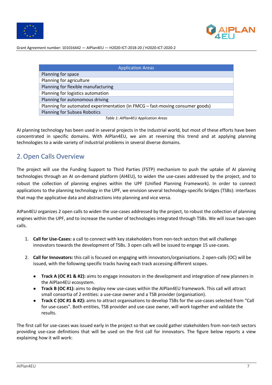



| <b>Application Areas</b>                                                      |  |  |  |  |
|-------------------------------------------------------------------------------|--|--|--|--|
| Planning for space                                                            |  |  |  |  |
| Planning for agriculture                                                      |  |  |  |  |
| Planning for flexible manufacturing                                           |  |  |  |  |
| Planning for logistics automation                                             |  |  |  |  |
| Planning for autonomous driving                                               |  |  |  |  |
| Planning for automated experimentation (in FMCG - fast-moving consumer goods) |  |  |  |  |
| <b>Planning for Subsea Robotics</b>                                           |  |  |  |  |
|                                                                               |  |  |  |  |

*Table 1: AIPlan4EU Application Areas*

AI planning technology has been used in several projects in the industrial world, but most of these efforts have been concentrated in specific domains. With AIPlan4EU, we aim at reversing this trend and at applying planning technologies to a wide variety of industrial problems in several diverse domains.

## 2.Open Calls Overview

The project will use the Funding Support to Third Parties (FSTP) mechanism to push the uptake of AI planning technologies through an AI on-demand platform (AI4EU), to widen the use-cases addressed by the project, and to robust the collection of planning engines within the UPF (Unified Planning Framework). In order to connect applications to the planning technology in the UPF, we envision several technology-specific bridges (TSBs): interfaces that map the applicative data and abstractions into planning and vice versa.

AIPan4EU organizes 2 open calls to widen the use-cases addressed by the project, to robust the collection of planning engines within the UPF, and to increase the number of technologies integrated through TSBs. We will issue two open calls.

- 1. **Call for Use-Cases:** a call to connect with key stakeholders from non-tech sectors that will challenge innovators towards the development of TSBs. 3 open calls will be issued to engage 15 use-cases.
- 2. **Call for Innovators:** this call is focused on engaging with innovators/organisations. 2 open-calls (OC) will be issued, with the following specific tracks having each track accessing different scopes.
	- **Track A (OC #1 & #2):** aims to engage innovators in the development and integration of new planners in the AIPlan4EU ecosystem.
	- **Track B (OC #1):** aims to deploy new use-cases within the AIPlan4EU framework. This call will attract small consortia of 2 entities: a use-case owner and a TSB provider (organisation).
	- **Track C (OC #1 & #2):** aims to attract organisations to develop TSBs for the use-cases selected from "Call for use-cases". Both entities, TSB provider and use-case owner, will work together and validate the results.

The first call for use-cases was issued early in the project so that we could gather stakeholders from non-tech sectors providing use-case definitions that will be used on the first call for innovators. The figure below reports a view explaining how it will work: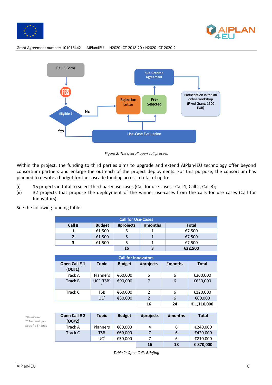





*Figure 2: The overall open call process*

Within the project, the funding to third parties aims to upgrade and extend AIPlan4EU technology offer beyond consortium partners and enlarge the outreach of the project deployments. For this purpose, the consortium has planned to devote a budget for the cascade funding across a total of up to:

- (i) 15 projects in total to select third-party use cases (Call for use-cases Call 1, Call 2, Call 3);
- (ii) 32 projects that propose the deployment of the winner use-cases from the calls for use cases (Call for Innovators).

| <b>Call for Use-Cases</b> |               |           |         |              |  |
|---------------------------|---------------|-----------|---------|--------------|--|
| Call #                    | <b>Budget</b> | #projects | #months | <b>Total</b> |  |
|                           | €1,500        |           |         | €7,500       |  |
|                           | €1,500        |           |         | €7,500       |  |
| €1,500<br>3               |               |           |         | €7,500       |  |
|                           |               | 15        |         | €22,500      |  |

See the following funding table:

| <b>Call for Innovators</b> |                                   |               |                |         |              |
|----------------------------|-----------------------------------|---------------|----------------|---------|--------------|
| Open Call #1<br>(OC#1)     | <b>Topic</b>                      | <b>Budget</b> | #projects      | #months | <b>Total</b> |
| <b>Track A</b>             | <b>Planners</b>                   | €60,000       | 5              | 6       | €300,000     |
| <b>Track B</b>             | UC <sup>*+</sup> TSB <sup>*</sup> | €90,000       | 7              | 6       | €630,000     |
| Track C                    | TSB                               | €60,000       | 2              | 6       | €120,000     |
|                            | $UC^*$                            | €30,000       | $\overline{2}$ | 6       | €60,000      |
|                            |                                   |               | 16             | 24      | € 1,110,000  |

\*Use-Case \*\*Technology-Specific Bridges

| Open Call # 2<br>(OC#2) | <b>Topic</b>    | <b>Budget</b> | #projects | #months | <b>Total</b> |
|-------------------------|-----------------|---------------|-----------|---------|--------------|
| <b>Track A</b>          | <b>Planners</b> | €60,000       | 4         | 6       | €240,000     |
| Track C                 | TSB             | €60,000       |           | 6       | €420,000     |
|                         | $UC^*$          | €30,000       |           | 6       | €210,000     |
|                         |                 |               | 16        | 18      | € 870,000    |

*Table 2: Open Calls Briefing*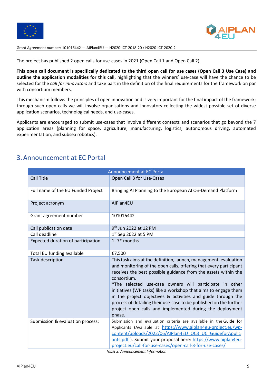



The project has published 2 open calls for use-cases in 2021 (Open Call 1 and Open Call 2).

**This open call document is specifically dedicated to the third open call for use cases (Open Call 3 Use Case) and outline the application modalities for this call**, highlighting that the winners' use-case will have the chance to be selected for the *call for innovators* and take part in the definition of the final requirements for the framework on par with consortium members.

This mechanism follows the principles of open innovation and is very important for the final impact of the framework: through such open calls we will involve organisations and innovators collecting the widest possible set of diverse application scenarios, technological needs, and use-cases.

Applicants are encouraged to submit use-cases that involve different contexts and scenarios that go beyond the 7 application areas (planning for space, agriculture, manufacturing, logistics, autonomous driving, automated experimentation, and subsea robotics).

## 3.Announcement at EC Portal

| <b>Announcement at EC Portal</b>   |                                                                                                                                                                                                                                                                                                                                                                                                                                                                                                                                                                  |  |  |
|------------------------------------|------------------------------------------------------------------------------------------------------------------------------------------------------------------------------------------------------------------------------------------------------------------------------------------------------------------------------------------------------------------------------------------------------------------------------------------------------------------------------------------------------------------------------------------------------------------|--|--|
| Call Title                         | Open Call 3 for Use-Cases                                                                                                                                                                                                                                                                                                                                                                                                                                                                                                                                        |  |  |
| Full name of the EU Funded Project | Bringing AI Planning to the European AI On-Demand Platform                                                                                                                                                                                                                                                                                                                                                                                                                                                                                                       |  |  |
| Project acronym                    | AIPlan4EU                                                                                                                                                                                                                                                                                                                                                                                                                                                                                                                                                        |  |  |
| Grant agreement number             | 101016442                                                                                                                                                                                                                                                                                                                                                                                                                                                                                                                                                        |  |  |
| Call publication date              | 9 <sup>th</sup> Jun 2022 at 12 PM                                                                                                                                                                                                                                                                                                                                                                                                                                                                                                                                |  |  |
| Call deadline                      | $1st$ Sep 2022 at 5 PM                                                                                                                                                                                                                                                                                                                                                                                                                                                                                                                                           |  |  |
| Expected duration of participation | $1 - 7*$ months                                                                                                                                                                                                                                                                                                                                                                                                                                                                                                                                                  |  |  |
| Total EU funding available         | €7,500                                                                                                                                                                                                                                                                                                                                                                                                                                                                                                                                                           |  |  |
| <b>Task description</b>            | This task aims at the definition, launch, management, evaluation<br>and monitoring of the open calls, offering that every participant<br>receives the best possible guidance from the assets within the<br>consortium.<br>*The selected use-case owners will participate in other<br>initiatives (WP tasks) like a workshop that aims to engage them<br>in the project objectives & activities and guide through the<br>process of detailing their use-case to be published on the further<br>project open calls and implemented during the deployment<br>phase. |  |  |
| Submission & evaluation process:   | Submission and evaluation criteria are available in the Guide for<br>Applicants (Available at https://www.aiplan4eu-project.eu/wp-<br>content/uploads/2022/06/AIPlan4EU OC3 UC GuideforApplic<br>ants.pdf). Submit your proposal here: https://www.aiplan4eu-<br>project.eu/call-for-use-cases/open-call-3-for-use-cases/                                                                                                                                                                                                                                        |  |  |
| Table 3: Announcement Information  |                                                                                                                                                                                                                                                                                                                                                                                                                                                                                                                                                                  |  |  |